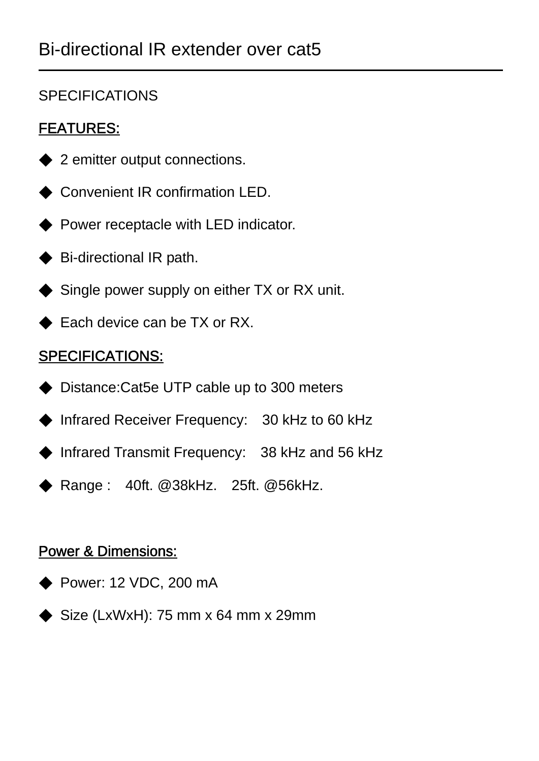## **SPECIFICATIONS**

# FEATURES:

- ◆ 2 emitter output connections.
- ◆ Convenient IR confirmation LED.
- ◆ Power receptacle with LED indicator.
- ◆ Bi-directional IR path.
- ◆ Single power supply on either TX or RX unit.
- ◆ Each device can be TX or RX.

# SPECIFICATIONS:

- ◆ Distance:Cat5e UTP cable up to 300 meters
- ◆ Infrared Receiver Frequency: 30 kHz to 60 kHz
- ◆ Infrared Transmit Frequency: 38 kHz and 56 kHz
- ◆ Range : 40ft. @38kHz. 25ft. @56kHz.

## Power & Dimensions:

- ◆ Power: 12 VDC, 200 mA
- $\blacklozenge$  Size (LxWxH): 75 mm x 64 mm x 29mm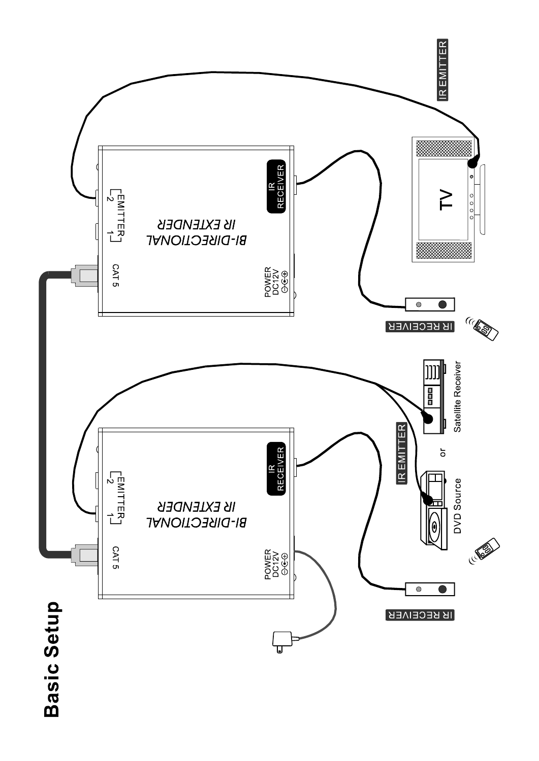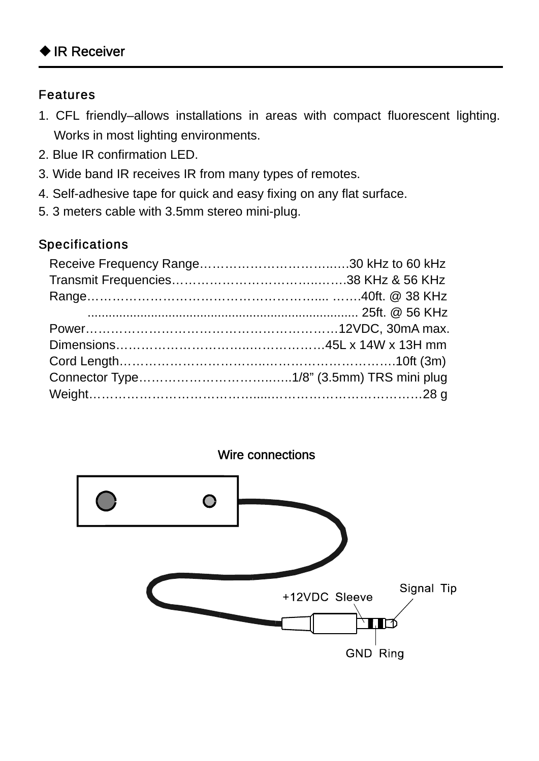#### Features

- 1. CFL friendly–allows installations in areas with compact fluorescent lighting. Works in most lighting environments.
- 2. Blue IR confirmation LED.
- 3. Wide band IR receives IR from many types of remotes.
- 4. Self-adhesive tape for quick and easy fixing on any flat surface.
- 5. 3 meters cable with 3.5mm stereo mini-plug.

### Specifications